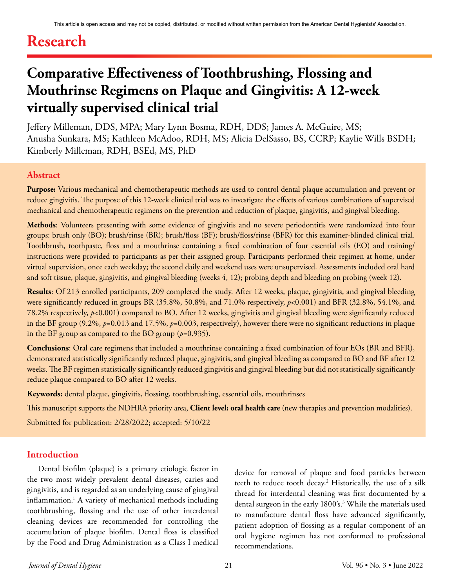# **Research**

# **Comparative Effectiveness of Toothbrushing, Flossing and Mouthrinse Regimens on Plaque and Gingivitis: A 12-week virtually supervised clinical trial**

Jeffery Milleman, DDS, MPA; Mary Lynn Bosma, RDH, DDS; James A. McGuire, MS; Anusha Sunkara, MS; Kathleen McAdoo, RDH, MS; Alicia DelSasso, BS, CCRP; Kaylie Wills BSDH; Kimberly Milleman, RDH, BSEd, MS, PhD

## **Abstract**

**Purpose:** Various mechanical and chemotherapeutic methods are used to control dental plaque accumulation and prevent or reduce gingivitis. The purpose of this 12-week clinical trial was to investigate the effects of various combinations of supervised mechanical and chemotherapeutic regimens on the prevention and reduction of plaque, gingivitis, and gingival bleeding.

**Methods**: Volunteers presenting with some evidence of gingivitis and no severe periodontitis were randomized into four groups: brush only (BO); brush/rinse (BR); brush/floss (BF); brush/floss/rinse (BFR) for this examiner-blinded clinical trial. Toothbrush, toothpaste, floss and a mouthrinse containing a fixed combination of four essential oils (EO) and training/ instructions were provided to participants as per their assigned group. Participants performed their regimen at home, under virtual supervision, once each weekday; the second daily and weekend uses were unsupervised. Assessments included oral hard and soft tissue, plaque, gingivitis, and gingival bleeding (weeks 4, 12); probing depth and bleeding on probing (week 12).

**Results**: Of 213 enrolled participants, 209 completed the study. After 12 weeks, plaque, gingivitis, and gingival bleeding were significantly reduced in groups BR (35.8%, 50.8%, and 71.0% respectively,  $p<0.001$ ) and BFR (32.8%, 54.1%, and 78.2% respectively, *p*<0.001) compared to BO. After 12 weeks, gingivitis and gingival bleeding were significantly reduced in the BF group (9.2%,  $p=0.013$  and 17.5%,  $p=0.003$ , respectively), however there were no significant reductions in plaque in the BF group as compared to the BO group (*p*=0.935).

**Conclusions**: Oral care regimens that included a mouthrinse containing a fixed combination of four EOs (BR and BFR), demonstrated statistically significantly reduced plaque, gingivitis, and gingival bleeding as compared to BO and BF after 12 weeks. The BF regimen statistically significantly reduced gingivitis and gingival bleeding but did not statistically significantly reduce plaque compared to BO after 12 weeks.

**Keywords:** dental plaque, gingivitis, flossing, toothbrushing, essential oils, mouthrinses

This manuscript supports the NDHRA priority area, **Client level: oral health care** (new therapies and prevention modalities).

Submitted for publication: 2/28/2022; accepted: 5/10/22

#### **Introduction**

Dental biofilm (plaque) is a primary etiologic factor in the two most widely prevalent dental diseases, caries and gingivitis, and is regarded as an underlying cause of gingival inflammation.1 A variety of mechanical methods including toothbrushing, flossing and the use of other interdental cleaning devices are recommended for controlling the accumulation of plaque biofilm. Dental floss is classified by the Food and Drug Administration as a Class I medical

device for removal of plaque and food particles between teeth to reduce tooth decay.<sup>2</sup> Historically, the use of a silk thread for interdental cleaning was first documented by a dental surgeon in the early 1800's.<sup>3</sup> While the materials used to manufacture dental floss have advanced significantly, patient adoption of flossing as a regular component of an oral hygiene regimen has not conformed to professional recommendations.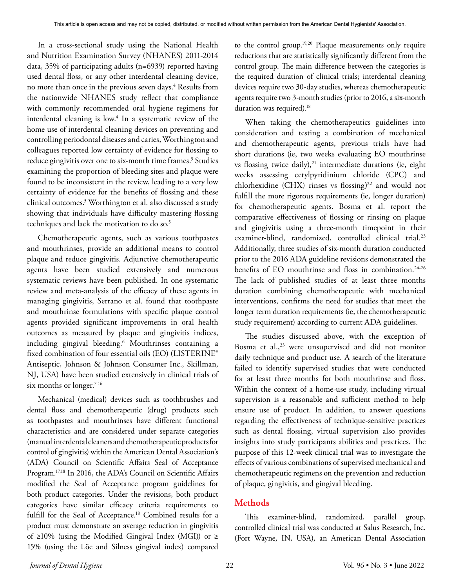In a cross-sectional study using the National Health and Nutrition Examination Survey (NHANES) 2011-2014 data, 35% of participating adults (n=6939) reported having used dental floss, or any other interdental cleaning device, no more than once in the previous seven days.<sup>4</sup> Results from the nationwide NHANES study reflect that compliance with commonly recommended oral hygiene regimens for interdental cleaning is low.<sup>4</sup> In a systematic review of the home use of interdental cleaning devices on preventing and controlling periodontal diseases and caries, Worthington and colleagues reported low certainty of evidence for flossing to reduce gingivitis over one to six-month time frames.<sup>5</sup> Studies examining the proportion of bleeding sites and plaque were found to be inconsistent in the review, leading to a very low certainty of evidence for the benefits of flossing and these clinical outcomes.5 Worthington et al. also discussed a study showing that individuals have difficulty mastering flossing techniques and lack the motivation to do so.<sup>5</sup>

Chemotherapeutic agents, such as various toothpastes and mouthrinses, provide an additional means to control plaque and reduce gingivitis. Adjunctive chemotherapeutic agents have been studied extensively and numerous systematic reviews have been published. In one systematic review and meta-analysis of the efficacy of these agents in managing gingivitis, Serrano et al. found that toothpaste and mouthrinse formulations with specific plaque control agents provided significant improvements in oral health outcomes as measured by plaque and gingivitis indices, including gingival bleeding.6 Mouthrinses containing a fixed combination of four essential oils (EO) (LISTERINE® Antiseptic, Johnson & Johnson Consumer Inc., Skillman, NJ, USA) have been studied extensively in clinical trials of six months or longer. $7-16$ 

Mechanical (medical) devices such as toothbrushes and dental floss and chemotherapeutic (drug) products such as toothpastes and mouthrinses have different functional characteristics and are considered under separate categories (manual interdental cleaners and chemotherapeutic products for control of gingivitis) within the American Dental Association's (ADA) Council on Scientific Affairs Seal of Acceptance Program.17,18 In 2016, the ADA's Council on Scientific Affairs modified the Seal of Acceptance program guidelines for both product categories. Under the revisions, both product categories have similar efficacy criteria requirements to fulfill for the Seal of Acceptance.<sup>18</sup> Combined results for a product must demonstrate an average reduction in gingivitis of ≥10% (using the Modified Gingival Index (MGI)) or ≥ 15% (using the Löe and Silness gingival index) compared

to the control group.19,20 Plaque measurements only require reductions that are statistically significantly different from the control group. The main difference between the categories is the required duration of clinical trials; interdental cleaning devices require two 30-day studies, whereas chemotherapeutic agents require two 3-month studies (prior to 2016, a six-month duration was required).<sup>18</sup>

When taking the chemotherapeutics guidelines into consideration and testing a combination of mechanical and chemotherapeutic agents, previous trials have had short durations (ie, two weeks evaluating EO mouthrinse vs flossing twice daily),<sup>21</sup> intermediate durations (ie, eight weeks assessing cetylpyridinium chloride (CPC) and chlorhexidine (CHX) rinses vs flossing)<sup>22</sup> and would not fulfill the more rigorous requirements (ie, longer duration) for chemotherapeutic agents. Bosma et al. report the comparative effectiveness of flossing or rinsing on plaque and gingivitis using a three-month timepoint in their examiner-blind, randomized, controlled clinical trial.<sup>23</sup> Additionally, three studies of six-month duration conducted prior to the 2016 ADA guideline revisions demonstrated the benefits of EO mouthrinse and floss in combination.<sup>24-26</sup> The lack of published studies of at least three months duration combining chemotherapeutic with mechanical interventions, confirms the need for studies that meet the longer term duration requirements (ie, the chemotherapeutic study requirement) according to current ADA guidelines.

The studies discussed above, with the exception of Bosma et al.,<sup>23</sup> were unsupervised and did not monitor daily technique and product use. A search of the literature failed to identify supervised studies that were conducted for at least three months for both mouthrinse and floss. Within the context of a home-use study, including virtual supervision is a reasonable and sufficient method to help ensure use of product. In addition, to answer questions regarding the effectiveness of technique-sensitive practices such as dental flossing, virtual supervision also provides insights into study participants abilities and practices. The purpose of this 12-week clinical trial was to investigate the effects of various combinations of supervised mechanical and chemotherapeutic regimens on the prevention and reduction of plaque, gingivitis, and gingival bleeding.

# **Methods**

This examiner-blind, randomized, parallel group, controlled clinical trial was conducted at Salus Research, Inc. (Fort Wayne, IN, USA), an American Dental Association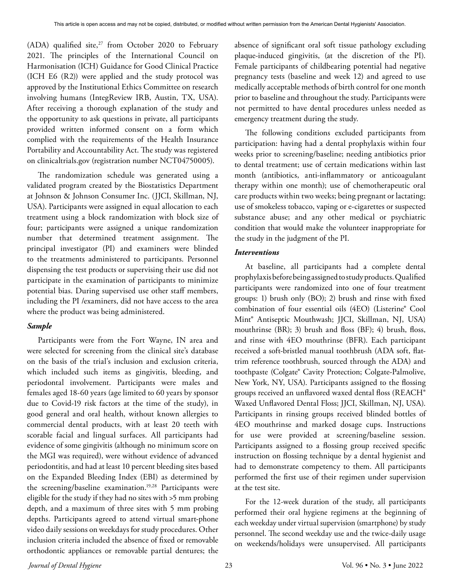(ADA) qualified site, $27$  from October 2020 to February 2021. The principles of the International Council on Harmonisation (ICH) Guidance for Good Clinical Practice (ICH E6 (R2)) were applied and the study protocol was approved by the Institutional Ethics Committee on research involving humans (IntegReview IRB, Austin, TX, USA). After receiving a thorough explanation of the study and the opportunity to ask questions in private, all participants provided written informed consent on a form which complied with the requirements of the Health Insurance Portability and Accountability Act. The study was registered on clinicaltrials.gov (registration number NCT04750005).

The randomization schedule was generated using a validated program created by the Biostatistics Department at Johnson & Johnson Consumer Inc. (JJCI, Skillman, NJ, USA). Participants were assigned in equal allocation to each treatment using a block randomization with block size of four; participants were assigned a unique randomization number that determined treatment assignment. The principal investigator (PI) and examiners were blinded to the treatments administered to participants. Personnel dispensing the test products or supervising their use did not participate in the examination of participants to minimize potential bias. During supervised use other staff members, including the PI /examiners, did not have access to the area where the product was being administered.

## *Sample*

Participants were from the Fort Wayne, IN area and were selected for screening from the clinical site's database on the basis of the trial's inclusion and exclusion criteria, which included such items as gingivitis, bleeding, and periodontal involvement. Participants were males and females aged 18-60 years (age limited to 60 years by sponsor due to Covid-19 risk factors at the time of the study), in good general and oral health, without known allergies to commercial dental products, with at least 20 teeth with scorable facial and lingual surfaces. All participants had evidence of some gingivitis (although no minimum score on the MGI was required), were without evidence of advanced periodontitis, and had at least 10 percent bleeding sites based on the Expanded Bleeding Index (EBI) as determined by the screening/baseline examination.<sup>19,28</sup> Participants were eligible for the study if they had no sites with >5 mm probing depth, and a maximum of three sites with 5 mm probing depths. Participants agreed to attend virtual smart-phone video daily sessions on weekdays for study procedures. Other inclusion criteria included the absence of fixed or removable orthodontic appliances or removable partial dentures; the

absence of significant oral soft tissue pathology excluding plaque-induced gingivitis, (at the discretion of the PI). Female participants of childbearing potential had negative pregnancy tests (baseline and week 12) and agreed to use medically acceptable methods of birth control for one month prior to baseline and throughout the study. Participants were not permitted to have dental procedures unless needed as emergency treatment during the study.

The following conditions excluded participants from participation: having had a dental prophylaxis within four weeks prior to screening/baseline; needing antibiotics prior to dental treatment; use of certain medications within last month (antibiotics, anti-inflammatory or anticoagulant therapy within one month); use of chemotherapeutic oral care products within two weeks; being pregnant or lactating; use of smokeless tobacco, vaping or e-cigarettes or suspected substance abuse; and any other medical or psychiatric condition that would make the volunteer inappropriate for the study in the judgment of the PI.

## *Interventions*

At baseline, all participants had a complete dental prophylaxis before being assigned to study products. Qualified participants were randomized into one of four treatment groups: 1) brush only (BO); 2) brush and rinse with fixed combination of four essential oils (4EO) (Listerine® Cool Mint® Antiseptic Mouthwash; JJCI, Skillman, NJ, USA) mouthrinse (BR); 3) brush and floss (BF); 4) brush, floss, and rinse with 4EO mouthrinse (BFR). Each participant received a soft-bristled manual toothbrush (ADA soft, flattrim reference toothbrush, sourced through the ADA) and toothpaste (Colgate® Cavity Protection; Colgate-Palmolive, New York, NY, USA). Participants assigned to the flossing groups received an unflavored waxed dental floss (REACH® Waxed Unflavored Dental Floss; JJCI, Skillman, NJ, USA). Participants in rinsing groups received blinded bottles of 4EO mouthrinse and marked dosage cups. Instructions for use were provided at screening/baseline session. Participants assigned to a flossing group received specific instruction on flossing technique by a dental hygienist and had to demonstrate competency to them. All participants performed the first use of their regimen under supervision at the test site.

For the 12-week duration of the study, all participants performed their oral hygiene regimens at the beginning of each weekday under virtual supervision (smartphone) by study personnel. The second weekday use and the twice-daily usage on weekends/holidays were unsupervised. All participants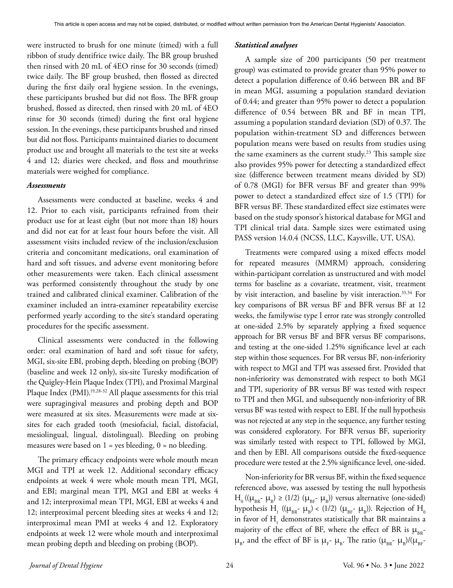were instructed to brush for one minute (timed) with a full ribbon of study dentifrice twice daily. The BR group brushed then rinsed with 20 mL of 4EO rinse for 30 seconds (timed) twice daily. The BF group brushed, then flossed as directed during the first daily oral hygiene session. In the evenings, these participants brushed but did not floss. The BFR group brushed, flossed as directed, then rinsed with 20 mL of 4EO rinse for 30 seconds (timed) during the first oral hygiene session. In the evenings, these participants brushed and rinsed but did not floss. Participants maintained diaries to document product use and brought all materials to the test site at weeks 4 and 12; diaries were checked, and floss and mouthrinse materials were weighed for compliance.

#### *Assessments*

Assessments were conducted at baseline, weeks 4 and 12. Prior to each visit, participants refrained from their product use for at least eight (but not more than 18) hours and did not eat for at least four hours before the visit. All assessment visits included review of the inclusion/exclusion criteria and concomitant medications, oral examination of hard and soft tissues, and adverse event monitoring before other measurements were taken. Each clinical assessment was performed consistently throughout the study by one trained and calibrated clinical examiner. Calibration of the examiner included an intra-examiner repeatability exercise performed yearly according to the site's standard operating procedures for the specific assessment.

Clinical assessments were conducted in the following order: oral examination of hard and soft tissue for safety, MGI, six-site EBI, probing depth, bleeding on probing (BOP) (baseline and week 12 only), six-site Turesky modification of the Quigley-Hein Plaque Index (TPI), and Proximal Marginal Plaque Index (PMI).<sup>19,28-32</sup> All plaque assessments for this trial were supragingival measures and probing depth and BOP were measured at six sites. Measurements were made at sixsites for each graded tooth (mesiofacial, facial, distofacial, mesiolingual, lingual, distolingual). Bleeding on probing measures were based on  $1 = yes$  bleeding,  $0 = no$  bleeding.

The primary efficacy endpoints were whole mouth mean MGI and TPI at week 12. Additional secondary efficacy endpoints at week 4 were whole mouth mean TPI, MGI, and EBI; marginal mean TPI, MGI and EBI at weeks 4 and 12; interproximal mean TPI, MGI, EBI at weeks 4 and 12; interproximal percent bleeding sites at weeks 4 and 12; interproximal mean PMI at weeks 4 and 12. Exploratory endpoints at week 12 were whole mouth and interproximal mean probing depth and bleeding on probing (BOP).

## *Statistical analyses*

A sample size of 200 participants (50 per treatment group) was estimated to provide greater than 95% power to detect a population difference of 0.46 between BR and BF in mean MGI, assuming a population standard deviation of 0.44; and greater than 95% power to detect a population difference of 0.54 between BR and BF in mean TPI, assuming a population standard deviation (SD) of 0.37. The population within-treatment SD and differences between population means were based on results from studies using the same examiners as the current study.<sup>23</sup> This sample size also provides 95% power for detecting a standardized effect size (difference between treatment means divided by SD) of 0.78 (MGI) for BFR versus BF and greater than 99% power to detect a standardized effect size of 1.5 (TPI) for BFR versus BF. These standardized effect size estimates were based on the study sponsor's historical database for MGI and TPI clinical trial data. Sample sizes were estimated using PASS version 14.0.4 (NCSS, LLC, Kaysville, UT, USA).

Treatments were compared using a mixed effects model for repeated measures (MMRM) approach, considering within-participant correlation as unstructured and with model terms for baseline as a covariate, treatment, visit, treatment by visit interaction, and baseline by visit interaction.<sup>33,34</sup> For key comparisons of BR versus BF and BFR versus BF at 12 weeks, the familywise type I error rate was strongly controlled at one-sided 2.5% by separately applying a fixed sequence approach for BR versus BF and BFR versus BF comparisons, and testing at the one-sided 1.25% significance level at each step within those sequences. For BR versus BF, non-inferiority with respect to MGI and TPI was assessed first. Provided that non-inferiority was demonstrated with respect to both MGI and TPI, superiority of BR versus BF was tested with respect to TPI and then MGI, and subsequently non-inferiority of BR versus BF was tested with respect to EBI. If the null hypothesis was not rejected at any step in the sequence, any further testing was considered exploratory. For BFR versus BF, superiority was similarly tested with respect to TPI, followed by MGI, and then by EBI. All comparisons outside the fixed-sequence procedure were tested at the 2.5% significance level, one-sided.

Non-inferiority for BR versus BF, within the fixed sequence referenced above, was assessed by testing the null hypothesis  $H_0$  (( $\mu_{BR}$ -  $\mu_B$ ) ≥ (1/2) ( $\mu_{BF}$ -  $\mu_B$ )) versus alternative (one-sided) hypothesis H<sub>1</sub> (( $\mu_{\text{\tiny BR}}$ -  $\mu_{\text{\tiny B}}$ ) < (1/2) ( $\mu_{\text{\tiny BF}}$ -  $\mu_{\text{\tiny B}}$ )). Rejection of H<sub>0</sub> in favor of  $H$ <sub>1</sub> demonstrates statistically that BR maintains a majority of the effect of BF, where the effect of BR is  $\mu_{\text{BP}}$ - $\mu_{B}$ , and the effect of BF is  $\mu_{F}$ -  $\mu_{B}$ . The ratio  $(\mu_{BR}$ -  $\mu_{B})/(\mu_{BF}$ -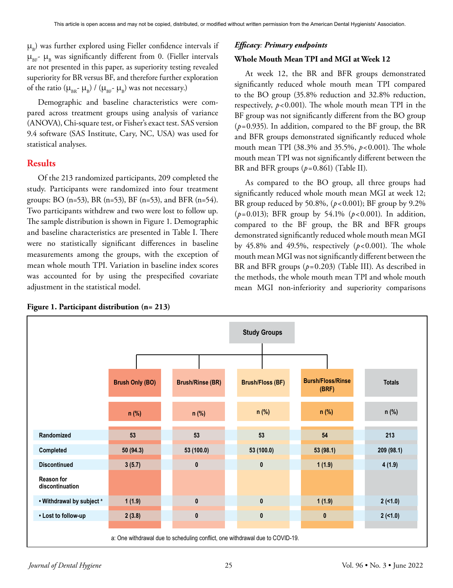$\mu_{\rm B}$ ) was further explored using Fieller confidence intervals if  $\mu_{BE}$ -  $\mu_{B}$  was significantly different from 0. (Fieller intervals are not presented in this paper, as superiority testing revealed superiority for BR versus BF, and therefore further exploration of the ratio  $(\mu_{BR}$ -  $\mu_B)$  /  $(\mu_{BF}$ -  $\mu_B)$  was not necessary.)

Demographic and baseline characteristics were compared across treatment groups using analysis of variance (ANOVA), Chi-square test, or Fisher's exact test. SAS version 9.4 software (SAS Institute, Cary, NC, USA) was used for statistical analyses.

## **Results**

Of the 213 randomized participants, 209 completed the study. Participants were randomized into four treatment groups: BO (n=53), BR (n=53), BF (n=53), and BFR (n=54). Two participants withdrew and two were lost to follow up. The sample distribution is shown in Figure 1. Demographic and baseline characteristics are presented in Table I. There were no statistically significant differences in baseline measurements among the groups, with the exception of mean whole mouth TPI. Variation in baseline index scores was accounted for by using the prespecified covariate adjustment in the statistical model.

| Figure 1. Participant distribution (n= 213) |  |  |  |  |  |
|---------------------------------------------|--|--|--|--|--|
|---------------------------------------------|--|--|--|--|--|

## *Efficacy: Primary endpoints*

## **Whole Mouth Mean TPI and MGI at Week 12**

At week 12, the BR and BFR groups demonstrated significantly reduced whole mouth mean TPI compared to the BO group (35.8% reduction and 32.8% reduction, respectively,  $p < 0.001$ ). The whole mouth mean TPI in the BF group was not significantly different from the BO group (*p*=0.935). In addition, compared to the BF group, the BR and BFR groups demonstrated significantly reduced whole mouth mean TPI (38.3% and 35.5%, *p*<0.001). The whole mouth mean TPI was not significantly different between the BR and BFR groups (*p*=0.861) (Table II).

As compared to the BO group, all three groups had significantly reduced whole mouth mean MGI at week 12; BR group reduced by 50.8%, (*p*<0.001); BF group by 9.2% (*p*=0.013); BFR group by 54.1% (*p*<0.001). In addition, compared to the BF group, the BR and BFR groups demonstrated significantly reduced whole mouth mean MGI by 45.8% and 49.5%, respectively  $(p<0.001)$ . The whole mouth mean MGI was not significantly different between the BR and BFR groups (*p*=0.203) (Table III). As described in the methods, the whole mouth mean TPI and whole mouth mean MGI non-inferiority and superiority comparisons

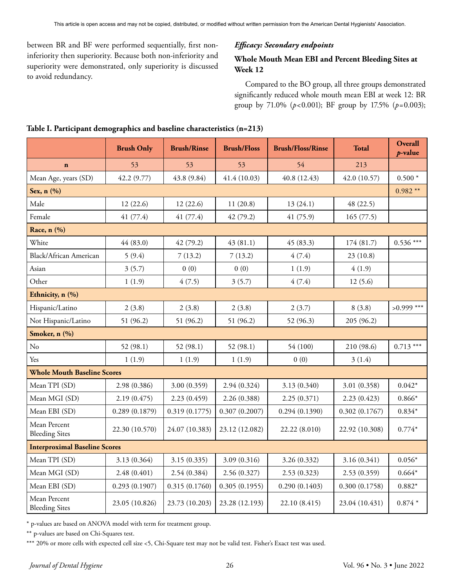between BR and BF were performed sequentially, first noninferiority then superiority. Because both non-inferiority and superiority were demonstrated, only superiority is discussed to avoid redundancy.

## *Efficacy: Secondary endpoints*

## **Whole Mouth Mean EBI and Percent Bleeding Sites at Week 12**

Compared to the BO group, all three groups demonstrated significantly reduced whole mouth mean EBI at week 12: BR group by 71.0% (*p*<0.001); BF group by 17.5% (*p*=0.003);

|                                       | <b>Brush Only</b> | <b>Brush/Rinse</b> | <b>Brush/Floss</b> | <b>Brush/Floss/Rinse</b> | <b>Total</b>   | Overall<br>$p$ -value |
|---------------------------------------|-------------------|--------------------|--------------------|--------------------------|----------------|-----------------------|
| $\mathbf{n}$                          | 53                | 53                 | 53                 | 54                       | 213            |                       |
| Mean Age, years (SD)                  | 42.2 (9.77)       | 43.8 (9.84)        | 41.4(10.03)        | 40.8 (12.43)             | 42.0 (10.57)   | $0.500*$              |
| Sex, $n$ $(\%)$                       |                   |                    |                    |                          |                | $0.982**$             |
| Male                                  | 12(22.6)          | 12(22.6)           | 11(20.8)           | 13(24.1)                 | 48 (22.5)      |                       |
| Female                                | 41 (77.4)         | 41 (77.4)          | 42 (79.2)          | 41 (75.9)                | 165(77.5)      |                       |
| Race, n (%)                           |                   |                    |                    |                          |                |                       |
| White                                 | 44(83.0)          | 42(79.2)           | 43(81.1)           | 45(83.3)                 | 174 (81.7)     | $0.536***$            |
| Black/African American                | 5(9.4)            | 7(13.2)            | 7(13.2)            | 4(7.4)                   | 23(10.8)       |                       |
| Asian                                 | 3(5.7)            | 0(0)               | 0(0)               | 1(1.9)                   | 4(1.9)         |                       |
| Other                                 | 1(1.9)            | 4(7.5)             | 3(5.7)             | 4(7.4)                   | 12(5.6)        |                       |
| Ethnicity, n (%)                      |                   |                    |                    |                          |                |                       |
| Hispanic/Latino                       | 2(3.8)            | 2(3.8)             | 2(3.8)             | 2(3.7)                   | 8(3.8)         | $>0.999***$           |
| Not Hispanic/Latino                   | 51 (96.2)         | 51 (96.2)          | 51 (96.2)          | 52 (96.3)                | 205 (96.2)     |                       |
| Smoker, n (%)                         |                   |                    |                    |                          |                |                       |
| No                                    | 52 (98.1)         | 52 (98.1)          | 52 (98.1)          | 54 (100)                 | 210 (98.6)     | $0.713***$            |
| Yes                                   | 1(1.9)            | 1(1.9)             | 1(1.9)             | 0(0)                     | 3(1.4)         |                       |
| <b>Whole Mouth Baseline Scores</b>    |                   |                    |                    |                          |                |                       |
| Mean TPI (SD)                         | 2.98 (0.386)      | 3.00 (0.359)       | 2.94 (0.324)       | 3.13 (0.340)             | 3.01 (0.358)   | $0.042*$              |
| Mean MGI (SD)                         | 2.19(0.475)       | 2.23(0.459)        | 2.26 (0.388)       | 2.25(0.371)              | 2.23(0.423)    | $0.866*$              |
| Mean EBI (SD)                         | 0.289(0.1879)     | 0.319(0.1775)      | 0.307(0.2007)      | 0.294(0.1390)            | 0.302(0.1767)  | $0.834*$              |
| Mean Percent<br><b>Bleeding Sites</b> | 22.30 (10.570)    | 24.07 (10.383)     | 23.12 (12.082)     | 22.22 (8.010)            | 22.92 (10.308) | $0.774*$              |
| <b>Interproximal Baseline Scores</b>  |                   |                    |                    |                          |                |                       |
| Mean TPI (SD)                         | 3.13 (0.364)      | 3.15(0.335)        | 3.09 (0.316)       | 3.26 (0.332)             | 3.16 (0.341)   | $0.056*$              |
| Mean MGI (SD)                         | 2.48(0.401)       | 2.54 (0.384)       | 2.56 (0.327)       | 2.53(0.323)              | 2.53(0.359)    | $0.664*$              |
| Mean EBI (SD)                         | 0.293(0.1907)     | 0.315(0.1760)      | 0.305(0.1955)      | 0.290(0.1403)            | 0.300(0.1758)  | $0.882*$              |
| Mean Percent<br><b>Bleeding Sites</b> | 23.05 (10.826)    | 23.73 (10.203)     | 23.28 (12.193)     | 22.10 (8.415)            | 23.04 (10.431) | $0.874*$              |

## **Table I. Participant demographics and baseline characteristics (n=213)**

\* p-values are based on ANOVA model with term for treatment group.

\*\* p-values are based on Chi-Squares test.

\*\*\* 20% or more cells with expected cell size <5, Chi-Square test may not be valid test. Fisher's Exact test was used.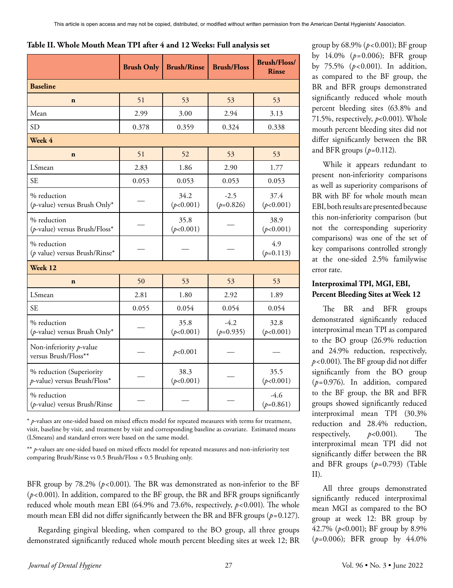| Table II. Whole Mouth Mean TPI after 4 and 12 Weeks: Full analysis set |
|------------------------------------------------------------------------|
|------------------------------------------------------------------------|

|                                                          | <b>Brush Only</b> | <b>Brush/Rinse</b> | <b>Brush/Floss</b>    | <b>Brush/Floss/</b><br><b>Rinse</b> |
|----------------------------------------------------------|-------------------|--------------------|-----------------------|-------------------------------------|
| <b>Baseline</b>                                          |                   |                    |                       |                                     |
| $\mathbf n$                                              | 51                | 53                 | 53                    | 53                                  |
| Mean                                                     | 2.99              | 3.00               | 2.94                  | 3.13                                |
| <b>SD</b>                                                | 0.378             | 0.359              | 0.324                 | 0.338                               |
| Week 4                                                   |                   |                    |                       |                                     |
| $\mathbf n$                                              | 51                | 52                 | 53                    | 53                                  |
| LSmean                                                   | 2.83              | 1.86               | 2.90                  | 1.77                                |
| <b>SE</b>                                                | 0.053             | 0.053              | 0.053                 | 0.053                               |
| % reduction<br>( $p$ -value) versus Brush Only*          |                   | 34.2<br>(p<0.001)  | $-2.5$<br>$(p=0.826)$ | 37.4<br>(p<0.001)                   |
| % reduction<br>(p-value) versus Brush/Floss*             |                   | 35.8<br>(p<0.001)  |                       | 38.9<br>(p<0.001)                   |
| % reduction<br>( $p$ value) versus Brush/Rinse*          |                   |                    |                       | 4.9<br>$(p=0.113)$                  |
| Week 12                                                  |                   |                    |                       |                                     |
| $\mathbf n$                                              | 50                | 53                 | 53                    | 53                                  |
| LSmean                                                   | 2.81              | 1.80               | 2.92                  | 1.89                                |
| <b>SE</b>                                                | 0.055             | 0.054              | 0.054                 | 0.054                               |
| % reduction<br>(p-value) versus Brush Only*              |                   | 35.8<br>(p<0.001)  | $-4.2$<br>$(p=0.935)$ | 32.8<br>(p<0.001)                   |
| Non-inferiority $p$ -value<br>versus Brush/Floss**       |                   | p<0.001            |                       |                                     |
| % reduction (Superiority<br>p-value) versus Brush/Floss* |                   | 38.3<br>(p<0.001)  |                       | 35.5<br>(p<0.001)                   |
| % reduction<br>(p-value) versus Brush/Rinse              |                   |                    |                       | $-4.6$<br>$(p=0.861)$               |

\* *p*-values are one-sided based on mixed effects model for repeated measures with terms for treatment, visit, baseline by visit, and treatment by visit and corresponding baseline as covariate. Estimated means (LSmeans) and standard errors were based on the same model.

\*\* *p*-values are one-sided based on mixed effects model for repeated measures and non-inferiority test comparing Brush/Rinse vs 0.5 Brush/Floss + 0.5 Brushing only.

BFR group by 78.2% (*p*<0.001). The BR was demonstrated as non-inferior to the BF (*p*<0.001). In addition, compared to the BF group, the BR and BFR groups significantly reduced whole mouth mean EBI (64.9% and 73.6%, respectively,  $p < 0.001$ ). The whole mouth mean EBI did not differ significantly between the BR and BFR groups (*p*=0.127).

Regarding gingival bleeding, when compared to the BO group, all three groups demonstrated significantly reduced whole mouth percent bleeding sites at week 12; BR group by 68.9% (*p*<0.001); BF group by 14.0% (*p*=0.006); BFR group by 75.5% (*p*<0.001). In addition, as compared to the BF group, the BR and BFR groups demonstrated significantly reduced whole mouth percent bleeding sites (63.8% and 71.5%, respectively, *p*<0.001). Whole mouth percent bleeding sites did not differ significantly between the BR and BFR groups (*p*=0.112).

While it appears redundant to present non-inferiority comparisons as well as superiority comparisons of BR with BF for whole mouth mean EBI, both results are presented because this non-inferiority comparison (but not the corresponding superiority comparisons) was one of the set of key comparisons controlled strongly at the one-sided 2.5% familywise error rate.

## **Interproximal TPI, MGI, EBI, Percent Bleeding Sites at Week 12**

The BR and BFR groups demonstrated significantly reduced interproximal mean TPI as compared to the BO group (26.9% reduction and 24.9% reduction, respectively, *p*<0.001). The BF group did not differ significantly from the BO group (*p*=0.976). In addition, compared to the BF group, the BR and BFR groups showed significantly reduced interproximal mean TPI (30.3% reduction and 28.4% reduction, respectively, *p*<0.001). The interproximal mean TPI did not significantly differ between the BR and BFR groups (*p*=0.793) (Table II).

All three groups demonstrated significantly reduced interproximal mean MGI as compared to the BO group at week 12: BR group by 42.7% (*p*<0.001); BF group by 8.9% (*p*=0.006); BFR group by 44.0%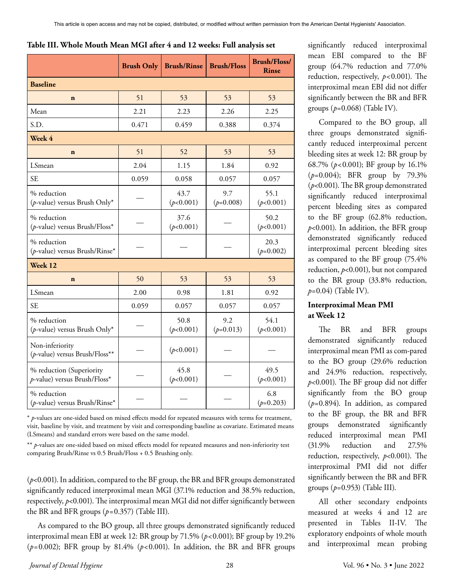### **Table III. Whole Mouth Mean MGI after 4 and 12 weeks: Full analysis set**

|                                                          | <b>Brush Only</b> | <b>Brush/Rinse</b> | <b>Brush/Floss</b> | <b>Brush/Floss/</b><br><b>Rinse</b> |
|----------------------------------------------------------|-------------------|--------------------|--------------------|-------------------------------------|
| <b>Baseline</b>                                          |                   |                    |                    |                                     |
| $\mathbf n$                                              | 51                | 53                 | 53                 | 53                                  |
| Mean                                                     | 2.21              | 2.23               | 2.26               | 2.25                                |
| S.D.                                                     | 0.471             | 0.459              | 0.388              | 0.374                               |
| Week 4                                                   |                   |                    |                    |                                     |
| $\mathbf n$                                              | 51                | 52                 | 53                 | 53                                  |
| LSmean                                                   | 2.04              | 1.15               | 1.84               | 0.92                                |
| <b>SE</b>                                                | 0.059             | 0.058              | 0.057              | 0.057                               |
| % reduction<br>(p-value) versus Brush Only*              |                   | 43.7<br>(p<0.001)  | 9.7<br>$(p=0.008)$ | 55.1<br>(p<0.001)                   |
| % reduction<br>(p-value) versus Brush/Floss*             |                   | 37.6<br>(p<0.001)  |                    | 50.2<br>(p<0.001)                   |
| % reduction<br>(p-value) versus Brush/Rinse*             |                   |                    |                    | 20.3<br>$(p=0.002)$                 |
| Week 12                                                  |                   |                    |                    |                                     |
| $\mathbf n$                                              | 50                | 53                 | 53                 | 53                                  |
| LSmean                                                   | 2.00              | 0.98               | 1.81               | 0.92                                |
| <b>SE</b>                                                | 0.059             | 0.057              | 0.057              | 0.057                               |
| % reduction<br>( $p$ -value) versus Brush Only*          |                   | 50.8<br>(p<0.001)  | 9.2<br>$(p=0.013)$ | 54.1<br>(p<0.001)                   |
| Non-inferiority<br>(p-value) versus Brush/Floss**        |                   | (p<0.001)          |                    |                                     |
| % reduction (Superiority<br>p-value) versus Brush/Floss* |                   | 45.8<br>(p<0.001)  |                    | 49.5<br>(p<0.001)                   |
| % reduction<br>(p-value) versus Brush/Rinse*             |                   |                    |                    | 6.8<br>$(p=0.203)$                  |

\* *p*-values are one-sided based on mixed effects model for repeated measures with terms for treatment, visit, baseline by visit, and treatment by visit and corresponding baseline as covariate. Estimated means (LSmeans) and standard errors were based on the same model.

\*\* *p*-values are one-sided based on mixed effects model for repeated measures and non-inferiority test comparing Brush/Rinse vs 0.5 Brush/Floss + 0.5 Brushing only.

(*p*<0.001). In addition, compared to the BF group, the BR and BFR groups demonstrated significantly reduced interproximal mean MGI (37.1% reduction and 38.5% reduction, respectively, *p*<0.001). The interproximal mean MGI did not differ significantly between the BR and BFR groups (*p*=0.357) (Table III).

As compared to the BO group, all three groups demonstrated significantly reduced interproximal mean EBI at week 12: BR group by 71.5% (*p*<0.001); BF group by 19.2% ( $p=0.002$ ); BFR group by 81.4% ( $p<0.001$ ). In addition, the BR and BFR groups significantly reduced interproximal mean EBI compared to the BF group (64.7% reduction and 77.0% reduction, respectively, *p*<0.001). The interproximal mean EBI did not differ significantly between the BR and BFR groups (*p*=0.068) (Table IV).

Compared to the BO group, all three groups demonstrated significantly reduced interproximal percent bleeding sites at week 12: BR group by 68.7% (*p*<0.001); BF group by 16.1% (*p*=0.004); BFR group by 79.3% (*p*<0.001). The BR group demonstrated significantly reduced interproximal percent bleeding sites as compared to the BF group (62.8% reduction, *p*<0.001). In addition, the BFR group demonstrated significantly reduced interproximal percent bleeding sites as compared to the BF group (75.4% reduction, *p*<0.001), but not compared to the BR group (33.8% reduction, *p*=0.04) (Table IV).

# **Interproximal Mean PMI at Week 12**

The BR and BFR groups demonstrated significantly reduced interproximal mean PMI as com-pared to the BO group (29.6% reduction and 24.9% reduction, respectively, *p*<0.001). The BF group did not differ significantly from the BO group (*p*=0.894). In addition, as compared to the BF group, the BR and BFR groups demonstrated significantly reduced interproximal mean PMI (31.9% reduction and 27.5% reduction, respectively, *p*<0.001). The interproximal PMI did not differ significantly between the BR and BFR groups (*p*=0.953) (Table III).

All other secondary endpoints measured at weeks 4 and 12 are presented in Tables II-IV. The exploratory endpoints of whole mouth and interproximal mean probing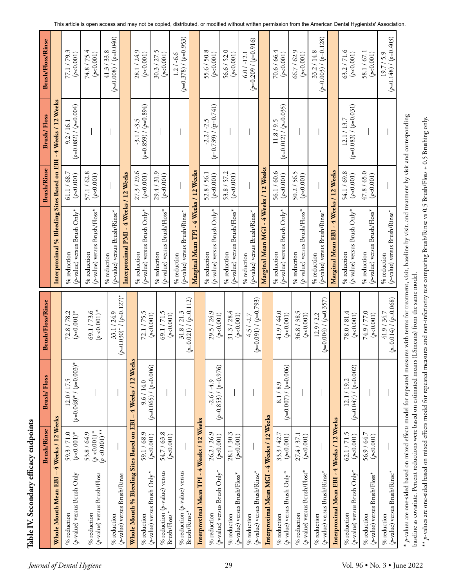|                             |                                                                                                        | <b>Brush/Rinse</b>                                 | <b>Brush/Floss</b>                       | <b>Brush/Floss/Rinse</b>                            |                                                                                                                                                                            | <b>Brush/Rinse</b>       | Brush/Floss                              | <b>Brush/Floss/Rinse</b>                         |
|-----------------------------|--------------------------------------------------------------------------------------------------------|----------------------------------------------------|------------------------------------------|-----------------------------------------------------|----------------------------------------------------------------------------------------------------------------------------------------------------------------------------|--------------------------|------------------------------------------|--------------------------------------------------|
|                             | $\mathsf I$<br>Whole Mouth Mean EBI                                                                    | 4 Weeks / 12 Weeks                                 |                                          |                                                     | Interproximal % Bleeding Sites Based on EBI - 4 Weeks / 12 Weeks                                                                                                           |                          |                                          |                                                  |
|                             | $(\rho$ -value) versus Brush Only<br>% reduction                                                       | $(p<0.001)$ *<br>59.3/71.0                         | $(p=0.048)^* / (p=0.003)^*$<br>12.0/17.5 | $(p<0.001)*$<br>72.8 / 78.2                         | $(p$ -value) versus Brush Only*<br>$\%$ reduction                                                                                                                          | 61.1/68.7<br>(p<0.001)   | $(p=0.082) / (p=0.004)$<br>9.2/16.1      | 77.1/79.3<br>(p<0.001)                           |
| Journal of Dental Hygiene   | $(p$ -value) versus Brush/Floss<br>% reduction                                                         | 53.8 / 64.9<br>$(p < 0.001)$ *<br>$(p < 0.001)$ ** |                                          | $(p < 0.001)$ *<br>69.1/73.6                        | $(p$ -value) versus Brush/Floss*<br>% reduction                                                                                                                            | 57.1 / 62.8<br>(p<0.001) |                                          | 74.8 / 75.4<br>(p<0.001)                         |
|                             | % reduction                                                                                            |                                                    |                                          | 33.1/24.9                                           | (p-value) versus Brush/Rinse*<br>% reduction                                                                                                                               |                          |                                          | $(41.3 / 33.8)$<br>( $p=0.008$ ) / ( $p=0.040$ ) |
|                             | (p-value) versus Brush/Rinse                                                                           |                                                    |                                          | $(p=0.030)*/(p=0.127)*$                             | Interproximal PMI - 4 Weeks / 12 Weeks                                                                                                                                     |                          |                                          |                                                  |
|                             | % Bleeding Sites Based on<br>Whole Mouth<br>% reduction                                                | 59.1/68.9                                          | 4 Weeks / 12 Weeks<br>9.6/14.0<br>EBI    | 72.1/75.5                                           | $(p$ -value) versus Brush Only*<br>% reduction                                                                                                                             | 27.3 / 29.6<br>(p<0.001) | $(p=0.859) / (p=0.894)$<br>$-3.1 / -3.5$ | 28.1/24.9<br>(p<0.001)                           |
|                             | % reduction $(p$ -value) versus<br>$(p$ -value) versus Brush Only*<br>Brush/Floss*                     | 54.7 / 63.8<br>(p<0.001)                           | $(p=0.065) / (p=0.006)$                  | 69.1/71.5<br>(p<0.001)                              | $(p$ -value) versus Brush/Floss*<br>% reduction                                                                                                                            | 29.4/31.9<br>(p<0.001)   |                                          | 30.3 / 27.5<br>(p<0.001)                         |
|                             | % reduction $(p$ -value) versus<br>Brush/Rinse*                                                        | (p<0.001)                                          |                                          | $(p=0.021) / (p=0.112)$<br>31.8 / 21.3<br>(p<0.001) | $(p$ -value) versus Brush/Rinse*<br>% reduction                                                                                                                            |                          |                                          | $(p=0.378) / (p=0.953)$<br>$1.2 / -6.6$          |
|                             |                                                                                                        |                                                    |                                          |                                                     | Marginal Mean TPI                                                                                                                                                          | -4 Weeks / 12 Weeks      |                                          |                                                  |
|                             | Interproximal Mean TPI - 4 Weeks / 12 Weeks<br>$(\rho$ -value) versus Brush Only*<br>% reduction       | 26.2/26.9<br>(p<0.001)                             | $(p=0.853) / (p=0.976)$<br>$-2.6/ -4.9$  | 29.5 / 24.9<br>(p<0.001)                            | $(p$ -value) versus Brush Only*<br>% reduction                                                                                                                             | 52.8 / 56.1<br>(p<0.001) | $(p=0.739) / (p=0.741)$<br>$-2.2 / -2.5$ | 55.6/50.8<br>(p<0.001)                           |
| 29                          | $(p$ -value) versus Brush/Floss*<br>% reduction                                                        | 28.1 / 30.3<br>(p<0.001)                           |                                          | 31.3 / 28.4<br>(p<0.001)                            | $(p$ -value) versus Brush/Floss*<br>% reduction                                                                                                                            | 53.8 / 57.2<br>(p<0.001) |                                          | 56.6 / 52.0<br>(p<0.001)                         |
|                             | $(p$ -value) versus Brush/Rinse*<br>% reduction                                                        |                                                    |                                          | $(p=0.091) / (p=0.793)$<br>$4.5/ -2.7$              | $(p$ -value) versus Brush/Rinse*<br>% reduction                                                                                                                            |                          |                                          | $(p=0.209 / (p=0.916)$<br>$6.0 / -12.1$          |
|                             | Interproximal Mean MGI - 4 Weeks / 12 Weeks                                                            |                                                    |                                          |                                                     | Marginal Mean MGI - 4 Weeks / 12 Weeks                                                                                                                                     |                          |                                          |                                                  |
|                             | $(p$ -value) versus Brush Only*<br>% reduction                                                         | 33.3 / 42.7<br>(p<0.001)                           | $(p=0.007) / (p=0.006)$<br>8.1/8.9       | 41.9 / 44.0<br>(p<0.001)                            | $(p$ -value) versus Brush Only*<br>% reduction                                                                                                                             | 56.1 / 60.6<br>(p<0.001) | $(p=0.012) / (p=0.035)$<br>11.8/9.5      | 70.6 / 66.4<br>(p<0.001)                         |
|                             | $(p$ -value) versus Brush/Floss*<br>% reduction                                                        | 27.4 / 37.1<br>(p<0.001)                           |                                          | 36.8 / 38.5<br>(p<0.001)                            | $(p$ -value) versus Brush/Floss*<br>% reduction                                                                                                                            | 50.2 / 56.5<br>(p<0.001) |                                          | 66.7 / 62.9<br>(p<0.001)                         |
|                             | $(p$ -value) versus Brush/Rinse $^*$<br>% reduction                                                    |                                                    |                                          | $(p=0.004) / (p=0.357)$<br>12.9 / 2.2               | (p-value) versus Brush/Rinse*<br>% reduction                                                                                                                               |                          |                                          | $(p=0.003) / (p=0.128)$<br>33.2 / 14.8           |
|                             | Interproximal Mean EBI                                                                                 | -4 Weeks / 12 Weeks                                |                                          |                                                     | Marginal Mean EBI - 4 Weeks / 12 Weeks                                                                                                                                     |                          |                                          |                                                  |
|                             | $(p$ -value) versus Brush Only*<br>% reduction                                                         | $62.1 / 71.5$<br>( $p<0.001$ )                     | $(p=0.047) / (p=0.002)$<br>12.1/19.2     | 78.0/81.4<br>(p<0.001)                              | $(p$ -value) versus Brush Only*<br>% reduction                                                                                                                             | 54.1 / 69.8<br>(p<0.001) | $(p=0.083) / (p=0.031)$<br>12.1 / 13.7   | 63.2/71.6<br>(p<0.001)                           |
|                             | (p-value) versus Brush/Floss*<br>% reduction                                                           | 56.9 / 64.7<br>(p<0.001)                           |                                          | 74.9 / 77.0<br>(p<0.001)                            | $(p$ -value) versus Brush/Floss*<br>$\%$ reduction                                                                                                                         | 47.8 / 65.0<br>(p<0.001) |                                          | 58.1 / 67.1<br>(p<0.001)                         |
|                             | $(p$ -value) versus Brush/Rinse*<br>% reduction                                                        |                                                    |                                          | $41.9 / 34.7$<br>( $p=0.014) / (p=0.068)$           | (p-value) versus Brush/Rinse*<br>% reduction                                                                                                                               |                          |                                          | $(p=0.148) / (p=0.403)$<br>19.7 / 5.9            |
| Vol. 96 • No. 3 • June 2022 | baseline as covariate. Percent reductions were based on estimated means (LSmeans) from the same model. |                                                    |                                          |                                                     | $*$ p-values are one-sided based on mixed effects model for repeated measures with terms for treatment, visit, baseline by visit, and treatment by visit and corresponding |                          |                                          |                                                  |

baseline as covariate. Percent reductions were based on estimated means (LSmeans) from the same model. \*\* p-values are one-sided based on mixed effects model for repeated measures and non-inferiority test comparing Brush/Rinse vs 0.5 Brush/Floss + 0.5 Brushing only. *p*-values are one-sided based on mixed effects model for repeated measures and non-inferiority test comparing Brush/Rinse vs 0.5 Brush/Floss + 0.5 Brushing only.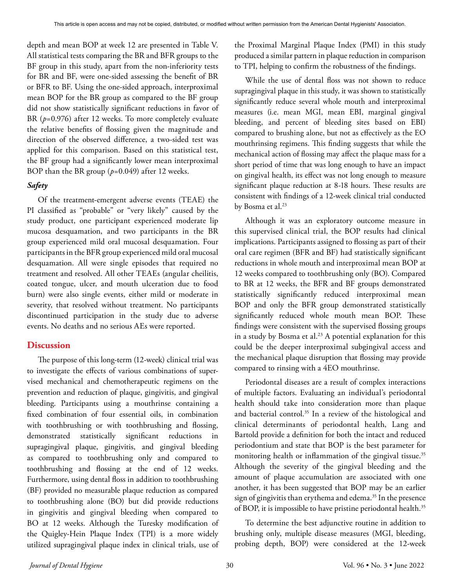depth and mean BOP at week 12 are presented in Table V. All statistical tests comparing the BR and BFR groups to the BF group in this study, apart from the non-inferiority tests for BR and BF, were one-sided assessing the benefit of BR or BFR to BF. Using the one-sided approach, interproximal mean BOP for the BR group as compared to the BF group did not show statistically significant reductions in favor of BR ( $p=0.976$ ) after 12 weeks. To more completely evaluate the relative benefits of flossing given the magnitude and direction of the observed difference, a two-sided test was applied for this comparison. Based on this statistical test, the BF group had a significantly lower mean interproximal BOP than the BR group (*p*=0.049) after 12 weeks.

# *Safety*

Of the treatment-emergent adverse events (TEAE) the PI classified as "probable" or "very likely" caused by the study product, one participant experienced moderate lip mucosa desquamation, and two participants in the BR group experienced mild oral mucosal desquamation. Four participants in the BFR group experienced mild oral mucosal desquamation. All were single episodes that required no treatment and resolved. All other TEAEs (angular cheilitis, coated tongue, ulcer, and mouth ulceration due to food burn) were also single events, either mild or moderate in severity, that resolved without treatment. No participants discontinued participation in the study due to adverse events. No deaths and no serious AEs were reported.

# **Discussion**

The purpose of this long-term (12-week) clinical trial was to investigate the effects of various combinations of supervised mechanical and chemotherapeutic regimens on the prevention and reduction of plaque, gingivitis, and gingival bleeding. Participants using a mouthrinse containing a fixed combination of four essential oils, in combination with toothbrushing or with toothbrushing and flossing, demonstrated statistically significant reductions in supragingival plaque, gingivitis, and gingival bleeding as compared to toothbrushing only and compared to toothbrushing and flossing at the end of 12 weeks. Furthermore, using dental floss in addition to toothbrushing (BF) provided no measurable plaque reduction as compared to toothbrushing alone (BO) but did provide reductions in gingivitis and gingival bleeding when compared to BO at 12 weeks. Although the Turesky modification of the Quigley-Hein Plaque Index (TPI) is a more widely utilized supragingival plaque index in clinical trials, use of the Proximal Marginal Plaque Index (PMI) in this study produced a similar pattern in plaque reduction in comparison to TPI, helping to confirm the robustness of the findings.

While the use of dental floss was not shown to reduce supragingival plaque in this study, it was shown to statistically significantly reduce several whole mouth and interproximal measures (i.e. mean MGI, mean EBI, marginal gingival bleeding, and percent of bleeding sites based on EBI) compared to brushing alone, but not as effectively as the EO mouthrinsing regimens. This finding suggests that while the mechanical action of flossing may affect the plaque mass for a short period of time that was long enough to have an impact on gingival health, its effect was not long enough to measure significant plaque reduction at 8-18 hours. These results are consistent with findings of a 12-week clinical trial conducted by Bosma et al.23

Although it was an exploratory outcome measure in this supervised clinical trial, the BOP results had clinical implications. Participants assigned to flossing as part of their oral care regimen (BFR and BF) had statistically significant reductions in whole mouth and interproximal mean BOP at 12 weeks compared to toothbrushing only (BO). Compared to BR at 12 weeks, the BFR and BF groups demonstrated statistically significantly reduced interproximal mean BOP and only the BFR group demonstrated statistically significantly reduced whole mouth mean BOP. These findings were consistent with the supervised flossing groups in a study by Bosma et al.<sup>23</sup> A potential explanation for this could be the deeper interproximal subgingival access and the mechanical plaque disruption that flossing may provide compared to rinsing with a 4EO mouthrinse.

Periodontal diseases are a result of complex interactions of multiple factors. Evaluating an individual's periodontal health should take into consideration more than plaque and bacterial control.<sup>35</sup> In a review of the histological and clinical determinants of periodontal health, Lang and Bartold provide a definition for both the intact and reduced periodontium and state that BOP is the best parameter for monitoring health or inflammation of the gingival tissue.<sup>35</sup> Although the severity of the gingival bleeding and the amount of plaque accumulation are associated with one another, it has been suggested that BOP may be an earlier sign of gingivitis than erythema and edema.<sup>35</sup> In the presence of BOP, it is impossible to have pristine periodontal health.<sup>35</sup>

To determine the best adjunctive routine in addition to brushing only, multiple disease measures (MGI, bleeding, probing depth, BOP) were considered at the 12-week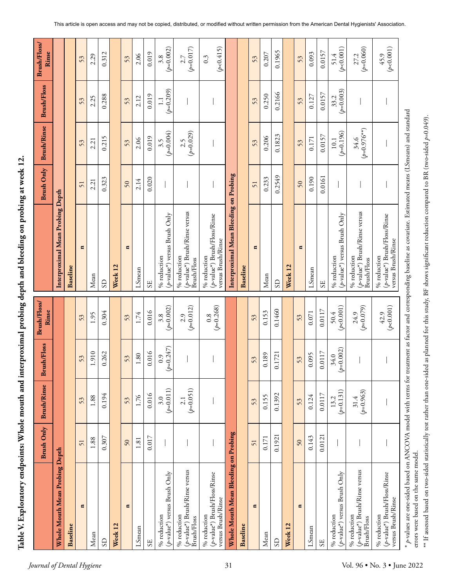**Table V. Exploratory endpoints: Whole mouth and interproximal probing depth and bleeding on probing at week 12.**  Table V. Exploratory endpoints: Whole mouth and interproximal probing depth and bleeding on probing at week 12.

|                                                                      | <b>Brush Only</b> | <b>Brush/Rinse</b>  | <b>Brush/Floss</b>  | Brush/Floss/<br>Rinse |                                                                                                                                                                     | <b>Brush Only</b> | <b>Brush/Rinse</b>      | <b>Brush/Floss</b>   | Brush/Floss/<br>Rinse         |
|----------------------------------------------------------------------|-------------------|---------------------|---------------------|-----------------------|---------------------------------------------------------------------------------------------------------------------------------------------------------------------|-------------------|-------------------------|----------------------|-------------------------------|
| Whole Mouth Mean Probing Depth                                       |                   |                     |                     |                       | Interproximal Mean Probing Depth                                                                                                                                    |                   |                         |                      |                               |
| Baseline                                                             |                   |                     |                     |                       | <b>Baseline</b>                                                                                                                                                     |                   |                         |                      |                               |
| $\blacksquare$                                                       | 51                | 53                  | 53                  | 53                    | $\blacksquare$                                                                                                                                                      | 51                | 53                      | 53                   | 53                            |
| Mean                                                                 | 1.88              | 1.88                | 1.910               | 1.95                  | Mean                                                                                                                                                                | 2.21              | 2.21                    | 2.25                 | 2.29                          |
| $\Omega$                                                             | 0.307             | 0.194               | 0.262               | 0.304                 | $\mathbf{S}$                                                                                                                                                        | 0.323             | 0.215                   | 0.288                | 0.312                         |
| Week 12                                                              |                   |                     |                     |                       | Week 12                                                                                                                                                             |                   |                         |                      |                               |
| Ξ                                                                    | 50                | 53                  | 53                  | 53                    | q                                                                                                                                                                   | 50                | 53                      | 53                   | 53                            |
| LSmean                                                               | 1.81              | 1.76                | 1.80                | 1.74                  | LSmean                                                                                                                                                              | 2.14              | 2.06                    | 2.12                 | 2.06                          |
| <b>SE</b>                                                            | 0.017             | 0.016               | 0.016               | 0.016                 | SE                                                                                                                                                                  | 0.020             | 0.019                   | 0.019                | 0.019                         |
| $(p$ -value*) versus Brush Only<br>% reduction                       |                   | $(p=0.011)$<br>3.0  | $(p=0.247)$<br>0.9  | $(p=0.002)$<br>3.8    | $(p$ -value*) versus Brush Only<br>% reduction                                                                                                                      |                   | $(p=0.004)$<br>3.5      | $(p=0.209)$<br>$\Xi$ | $3.8$<br>( $p=0.002$ )        |
| (p-value*) Brush/Rinse versus<br>% reduction<br>Brush/Floss          |                   | $(p=0.051)$<br>2.1  |                     | $(p=0.012)$<br>2.9    | $(p$ -value*) Brush/Rinse versus<br>% reduction<br><b>Brush/Floss</b>                                                                                               |                   | $(p=0.029)$<br>2.5      |                      | $(p=0.017)$<br>2.7            |
| $(p$ -value*) Brush/Floss/Rinse<br>versus Brush/Rinse<br>% reduction |                   |                     |                     | $(p=0.268)$<br>0.8    | $(p$ -value*) Brush/Floss/Rinse<br>versus Brush/Rinse<br>% reduction                                                                                                |                   |                         |                      | (p<0.415)<br>$0.\overline{3}$ |
| Whole Mouth Mean Bleeding on Probing                                 |                   |                     |                     |                       | Interproximal Mean Bleeding on Probing                                                                                                                              |                   |                         |                      |                               |
| <b>Baseline</b>                                                      |                   |                     |                     |                       | Baseline                                                                                                                                                            |                   |                         |                      |                               |
| Ξ                                                                    | 51                | 53                  | 53                  | 53                    | Ξ                                                                                                                                                                   | 51                | 53                      | 53                   | 53                            |
| Mean                                                                 | 0.171             | 0.155               | 0.189               | 0.153                 | Mean                                                                                                                                                                | 0.233             | 0.206                   | 0.250                | 0.207                         |
| $\Omega$                                                             | 0.1921            | 0.1392              | 0.1721              | 0.1460                | S <sub>D</sub>                                                                                                                                                      | 0.2549            | 0.1823                  | 0.2166               | 0.1965                        |
| Week 12                                                              |                   |                     |                     |                       | Week 12                                                                                                                                                             |                   |                         |                      |                               |
| Ξ                                                                    | 50                | 53                  | 53                  | 53                    | H                                                                                                                                                                   | 50                | 53                      | 53                   | 53                            |
| LSmean                                                               | 0.143             | 0.124               | 0.095               | 0.071                 | LSmean                                                                                                                                                              | 0.190             | 0.171                   | 0.127                | 0.093                         |
| S <sub>E</sub>                                                       | 0.0121            | 0.0117              | 0.0117              | 0.0117                | S <sub>E</sub>                                                                                                                                                      | 0.0161            | 0.0157                  | 0.0157               | 0.0157                        |
| $(p$ -value*) versus Brush Only<br>% reduction                       |                   | $(p=0.131)$<br>13.2 | $(p=0.002)$<br>34.0 | (p<0.001)<br>50.4     | $(p$ -value*) versus Brush Only<br>% reduction                                                                                                                      |                   | $(p=0.196)$<br>$10.1\,$ | $(p=0.003)$<br>33.2  | (p<0.001)<br>51.4             |
| (p-value*) Brush/Rinse versus<br>% reduction<br>Brush/Floss          |                   | $(p=0.963)$<br>31.4 |                     | $(6L10-0)$<br>24.9    | $(p$ -value*) Brush/Rinse versus<br>% reduction<br><b>Brush/Floss</b>                                                                                               |                   | $(p=0.976**)$<br>34.6   |                      | $(p=0.060)$<br>27.2           |
| (p-value*) Brush/Floss/Rinse<br>versus Brush/Rinse<br>% reduction    |                   |                     |                     | (p<0.001)<br>42.9     | $(p$ -value*) Brush/Floss/Rinse<br>versus Brush/Rinse<br>% reduction                                                                                                |                   |                         |                      | $45.9$<br>( $p<0.001$ )       |
|                                                                      |                   |                     |                     |                       | $*$ p-values are one-sided based on ANCOVA model with terms for treatment as factor and corresponding baseline as covariate. Estimated means (LSmeans) and standard |                   |                         |                      |                               |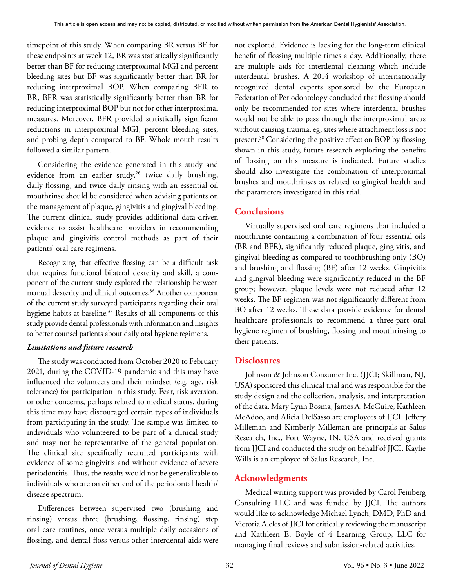timepoint of this study. When comparing BR versus BF for these endpoints at week 12, BR was statistically significantly better than BF for reducing interproximal MGI and percent bleeding sites but BF was significantly better than BR for reducing interproximal BOP. When comparing BFR to BR, BFR was statistically significantly better than BR for reducing interproximal BOP but not for other interproximal measures. Moreover, BFR provided statistically significant reductions in interproximal MGI, percent bleeding sites, and probing depth compared to BF. Whole mouth results followed a similar pattern.

Considering the evidence generated in this study and evidence from an earlier study,<sup>26</sup> twice daily brushing, daily flossing, and twice daily rinsing with an essential oil mouthrinse should be considered when advising patients on the management of plaque, gingivitis and gingival bleeding. The current clinical study provides additional data-driven evidence to assist healthcare providers in recommending plaque and gingivitis control methods as part of their patients' oral care regimens.

Recognizing that effective flossing can be a difficult task that requires functional bilateral dexterity and skill, a component of the current study explored the relationship between manual dexterity and clinical outcomes.<sup>36</sup> Another component of the current study surveyed participants regarding their oral hygiene habits at baseline.<sup>37</sup> Results of all components of this study provide dental professionals with information and insights to better counsel patients about daily oral hygiene regimens.

## *Limitations and future research*

The study was conducted from October 2020 to February 2021, during the COVID-19 pandemic and this may have influenced the volunteers and their mindset (e.g. age, risk tolerance) for participation in this study. Fear, risk aversion, or other concerns, perhaps related to medical status, during this time may have discouraged certain types of individuals from participating in the study. The sample was limited to individuals who volunteered to be part of a clinical study and may not be representative of the general population. The clinical site specifically recruited participants with evidence of some gingivitis and without evidence of severe periodontitis. Thus, the results would not be generalizable to individuals who are on either end of the periodontal health/ disease spectrum.

Differences between supervised two (brushing and rinsing) versus three (brushing, flossing, rinsing) step oral care routines, once versus multiple daily occasions of flossing, and dental floss versus other interdental aids were

not explored. Evidence is lacking for the long-term clinical benefit of flossing multiple times a day. Additionally, there are multiple aids for interdental cleaning which include interdental brushes. A 2014 workshop of internationally recognized dental experts sponsored by the European Federation of Periodontology concluded that flossing should only be recommended for sites where interdental brushes would not be able to pass through the interproximal areas without causing trauma, eg, sites where attachment loss is not present.38 Considering the positive effect on BOP by flossing shown in this study, future research exploring the benefits of flossing on this measure is indicated. Future studies should also investigate the combination of interproximal brushes and mouthrinses as related to gingival health and the parameters investigated in this trial.

# **Conclusions**

Virtually supervised oral care regimens that included a mouthrinse containing a combination of four essential oils (BR and BFR), significantly reduced plaque, gingivitis, and gingival bleeding as compared to toothbrushing only (BO) and brushing and flossing (BF) after 12 weeks. Gingivitis and gingival bleeding were significantly reduced in the BF group; however, plaque levels were not reduced after 12 weeks. The BF regimen was not significantly different from BO after 12 weeks. These data provide evidence for dental healthcare professionals to recommend a three-part oral hygiene regimen of brushing, flossing and mouthrinsing to their patients.

# **Disclosures**

Johnson & Johnson Consumer Inc. (JJCI; Skillman, NJ, USA) sponsored this clinical trial and was responsible for the study design and the collection, analysis, and interpretation of the data. Mary Lynn Bosma, James A. McGuire, Kathleen McAdoo, and Alicia DelSasso are employees of JJCI. Jeffery Milleman and Kimberly Milleman are principals at Salus Research, Inc., Fort Wayne, IN, USA and received grants from JJCI and conducted the study on behalf of JJCI. Kaylie Wills is an employee of Salus Research, Inc.

# **Acknowledgments**

Medical writing support was provided by Carol Feinberg Consulting LLC and was funded by JJCI. The authors would like to acknowledge Michael Lynch, DMD, PhD and Victoria Aleles of JJCI for critically reviewing the manuscript and Kathleen E. Boyle of 4 Learning Group, LLC for managing final reviews and submission-related activities.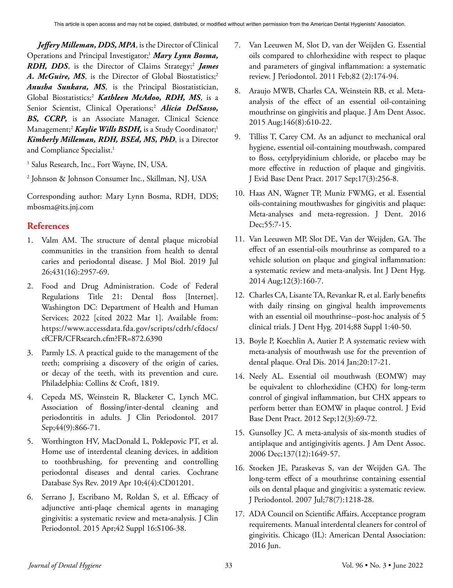*Jeffery Milleman, DDS, MPA*, is the Director of Clinical Operations and Principal Investigator;<sup>1</sup> Mary Lynn Bosma, *RDH, DDS*, is the Director of Claims Strategy;<sup>2</sup> *James* A. McGuire, MS, is the Director of Global Biostatistics;<sup>2</sup> *Anusha Sunkara, MS*, is the Principal Biostatistician, Global Biostatistics;2  *Kathleen McAdoo, RDH, MS*, is a Senior Scientist, Clinical Operations;<sup>2</sup> Alicia DelSasso, *BS, CCRP,* is an Associate Manager, Clinical Science Management;<sup>2</sup> *Kaylie Wills BSDH*, is a Study Coordinator;<sup>1</sup> *Kimberly Milleman, RDH, BSEd, MS, PhD*, is a Director and Compliance Specialist.<sup>1</sup>

1 Salus Research, Inc., Fort Wayne, IN, USA.

2 Johnson & Johnson Consumer Inc., Skillman, NJ, USA

Corresponding author: Mary Lynn Bosma, RDH, DDS; mbosma@its.jnj.com

# **References**

- 1. Valm AM. The structure of dental plaque microbial communities in the transition from health to dental caries and periodontal disease. J Mol Biol. 2019 Jul 26;431(16):2957-69.
- 2. Food and Drug Administration. Code of Federal Regulations Title 21: Dental floss [Internet]. Washington DC: Department of Health and Human Services; 2022 [cited 2022 Mar 1]. Available from: https://www.accessdata.fda.gov/scripts/cdrh/cfdocs/ cfCFR/CFRsearch.cfm?FR=872.6390
- 3. Parmly LS. A practical guide to the management of the teeth; comprising a discovery of the origin of caries, or decay of the teeth, with its prevention and cure. Philadelphia: Collins & Croft, 1819.
- 4. Cepeda MS, Weinstein R, Blacketer C, Lynch MC. Association of flossing/inter-dental cleaning and periodontitis in adults. J Clin Periodontol. 2017 Sep;44(9):866-71.
- 5. Worthington HV, MacDonald L, Poklepovic PT, et al. Home use of interdental cleaning devices, in addition to toothbrushing, for preventing and controlling periodontal diseases and dental caries. Cochrane Database Sys Rev. 2019 Apr 10;4(4):CD01201.
- 6. Serrano J, Escribano M, Roldan S, et al. Efficacy of adjunctive anti-plaqe chemical agents in managing gingivitis: a systematic review and meta-analysis. J Clin Periodontol. 2015 Apr;42 Suppl 16:S106-38.
- 7. Van Leeuwen M, Slot D, van der Weijden G. Essential oils compared to chlorhexidine with respect to plaque and parameters of gingival inflammation: a systematic review. J Periodontol. 2011 Feb;82 (2):174-94.
- 8. Araujo MWB, Charles CA, Weinstein RB, et al. Metaanalysis of the effect of an essential oil-containing mouthrinse on gingivitis and plaque. J Am Dent Assoc. 2015 Aug;146(8):610-22.
- 9. Tilliss T, Carey CM. As an adjunct to mechanical oral hygiene, essential oil-containing mouthwash, compared to floss, cetylpryidinium chloride, or placebo may be more effective in reduction of plaque and gingivitis. J Evid Base Dent Pract. 2017 Sep;17(3):256-8.
- 10. Haas AN, Wagner TP, Muniz FWMG, et al. Essential oils-containing mouthwashes for gingivitis and plaque: Meta-analyses and meta-regression. J Dent. 2016 Dec;55:7-15.
- 11. Van Leeuwen MP, Slot DE, Van der Weijden, GA. The effect of an essential-oils mouthrinse as compared to a vehicle solution on plaque and gingival inflammation: a systematic review and meta-analysis. Int J Dent Hyg. 2014 Aug;12(3):160-7.
- 12. Charles CA, Lisante TA, Revankar R, et al. Early benefits with daily rinsing on gingival health improvements with an essential oil mouthrinse--post-hoc analysis of 5 clinical trials. J Dent Hyg. 2014;88 Suppl 1:40-50.
- 13. Boyle P, Koechlin A, Autier P. A systematic review with meta-analysis of mouthwash use for the prevention of dental plaque. Oral Dis. 2014 Jan;20:17-21.
- 14. Neely AL. Essential oil mouthwash (EOMW) may be equivalent to chlorhexidine (CHX) for long-term control of gingival inflammation, but CHX appears to perform better than EOMW in plaque control. J Evid Base Dent Pract. 2012 Sep;12(3):69-72.
- 15. Gunsolley JC. A meta-analysis of six-month studies of antiplaque and antigingivitis agents. J Am Dent Assoc. 2006 Dec;137(12):1649-57.
- 16. Stoeken JE, Paraskevas S, van der Weijden GA. The long-term effect of a mouthrinse containing essential oils on dental plaque and gingivitis: a systematic review. J Periodontol. 2007 Jul;78(7):1218-28.
- 17. ADA Council on Scientific Affairs. Acceptance program requirements. Manual interdental cleaners for control of gingivitis. Chicago (IL): American Dental Association: 2016 Jun.